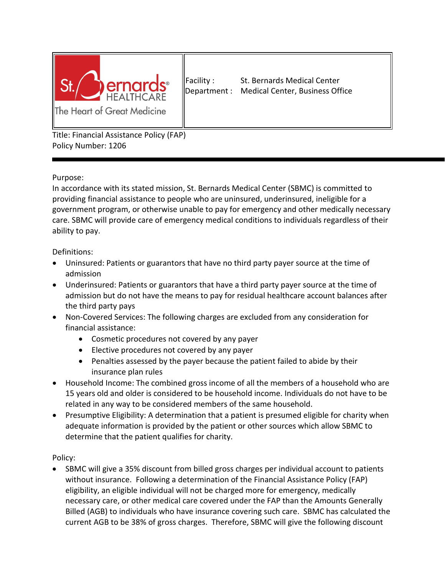

Facility : St. Bernards Medical Center Department : Medical Center, Business Office

Title: Financial Assistance Policy (FAP) Policy Number: 1206

Purpose:

In accordance with its stated mission, St. Bernards Medical Center (SBMC) is committed to providing financial assistance to people who are uninsured, underinsured, ineligible for a government program, or otherwise unable to pay for emergency and other medically necessary care. SBMC will provide care of emergency medical conditions to individuals regardless of their ability to pay.

## Definitions:

- Uninsured: Patients or guarantors that have no third party payer source at the time of admission
- Underinsured: Patients or guarantors that have a third party payer source at the time of admission but do not have the means to pay for residual healthcare account balances after the third party pays
- Non-Covered Services: The following charges are excluded from any consideration for financial assistance:
	- Cosmetic procedures not covered by any payer
	- Elective procedures not covered by any payer
	- Penalties assessed by the payer because the patient failed to abide by their insurance plan rules
- Household Income: The combined gross income of all the members of a household who are 15 years old and older is considered to be household income. Individuals do not have to be related in any way to be considered members of the same household.
- Presumptive Eligibility: A determination that a patient is presumed eligible for charity when adequate information is provided by the patient or other sources which allow SBMC to determine that the patient qualifies for charity.

Policy:

• SBMC will give a 35% discount from billed gross charges per individual account to patients without insurance. Following a determination of the Financial Assistance Policy (FAP) eligibility, an eligible individual will not be charged more for emergency, medically necessary care, or other medical care covered under the FAP than the Amounts Generally Billed (AGB) to individuals who have insurance covering such care. SBMC has calculated the current AGB to be 38% of gross charges. Therefore, SBMC will give the following discount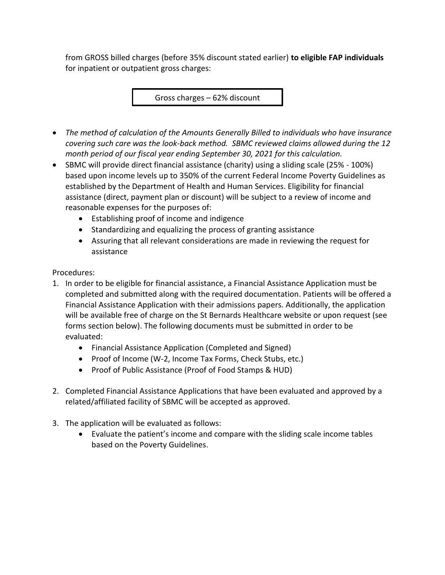from GROSS billed charges (before 35% discount stated earlier) **to eligible FAP individuals** for inpatient or outpatient gross charges:

Gross charges – 62% discount

- *The method of calculation of the Amounts Generally Billed to individuals who have insurance covering such care was the look-back method. SBMC reviewed claims allowed during the 12 month period of our fiscal year ending September 30, 2021 for this calculation.*
- SBMC will provide direct financial assistance (charity) using a sliding scale (25% 100%) based upon income levels up to 350% of the current Federal Income Poverty Guidelines as established by the Department of Health and Human Services. Eligibility for financial assistance (direct, payment plan or discount) will be subject to a review of income and reasonable expenses for the purposes of:
	- Establishing proof of income and indigence
	- Standardizing and equalizing the process of granting assistance
	- Assuring that all relevant considerations are made in reviewing the request for assistance

Procedures:

- 1. In order to be eligible for financial assistance, a Financial Assistance Application must be completed and submitted along with the required documentation. Patients will be offered a Financial Assistance Application with their admissions papers. Additionally, the application will be available free of charge on the St Bernards Healthcare website or upon request (see forms section below). The following documents must be submitted in order to be evaluated:
	- Financial Assistance Application (Completed and Signed)
	- Proof of Income (W-2, Income Tax Forms, Check Stubs, etc.)
	- Proof of Public Assistance (Proof of Food Stamps & HUD)
- 2. Completed Financial Assistance Applications that have been evaluated and approved by a related/affiliated facility of SBMC will be accepted as approved.
- 3. The application will be evaluated as follows:
	- Evaluate the patient's income and compare with the sliding scale income tables based on the Poverty Guidelines.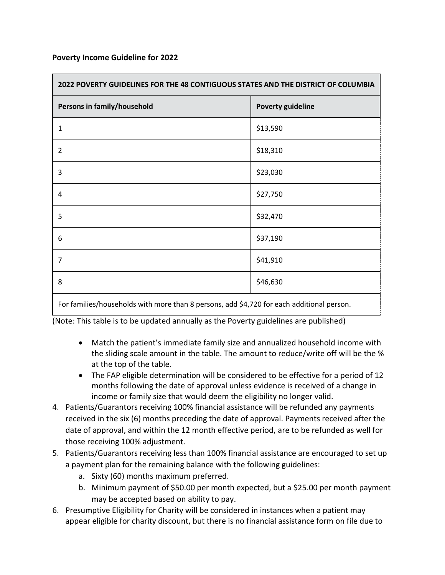## **Poverty Income Guideline for 2022**

| 2022 POVERTY GUIDELINES FOR THE 48 CONTIGUOUS STATES AND THE DISTRICT OF COLUMBIA           |                          |
|---------------------------------------------------------------------------------------------|--------------------------|
| Persons in family/household                                                                 | <b>Poverty guideline</b> |
| $\mathbf{1}$                                                                                | \$13,590                 |
| $\overline{2}$                                                                              | \$18,310                 |
| 3                                                                                           | \$23,030                 |
| 4                                                                                           | \$27,750                 |
| 5                                                                                           | \$32,470                 |
| 6                                                                                           | \$37,190                 |
| 7                                                                                           | \$41,910                 |
| 8                                                                                           | \$46,630                 |
| Frankens Here Here are bedde with means them Omensens and did 700 from a delivered to a did |                          |

For families/households with more than 8 persons, add \$4,720 for each additional person.

(Note: This table is to be updated annually as the Poverty guidelines are published)

- Match the patient's immediate family size and annualized household income with the sliding scale amount in the table. The amount to reduce/write off will be the % at the top of the table.
- The FAP eligible determination will be considered to be effective for a period of 12 months following the date of approval unless evidence is received of a change in income or family size that would deem the eligibility no longer valid.
- 4. Patients/Guarantors receiving 100% financial assistance will be refunded any payments received in the six (6) months preceding the date of approval. Payments received after the date of approval, and within the 12 month effective period, are to be refunded as well for those receiving 100% adjustment.
- 5. Patients/Guarantors receiving less than 100% financial assistance are encouraged to set up a payment plan for the remaining balance with the following guidelines:
	- a. Sixty (60) months maximum preferred.
	- b. Minimum payment of \$50.00 per month expected, but a \$25.00 per month payment may be accepted based on ability to pay.
- 6. Presumptive Eligibility for Charity will be considered in instances when a patient may appear eligible for charity discount, but there is no financial assistance form on file due to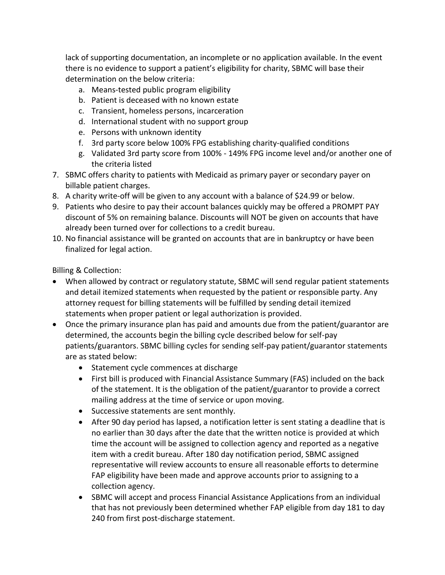lack of supporting documentation, an incomplete or no application available. In the event there is no evidence to support a patient's eligibility for charity, SBMC will base their determination on the below criteria:

- a. Means-tested public program eligibility
- b. Patient is deceased with no known estate
- c. Transient, homeless persons, incarceration
- d. International student with no support group
- e. Persons with unknown identity
- f. 3rd party score below 100% FPG establishing charity-qualified conditions
- g. Validated 3rd party score from 100% 149% FPG income level and/or another one of the criteria listed
- 7. SBMC offers charity to patients with Medicaid as primary payer or secondary payer on billable patient charges.
- 8. A charity write-off will be given to any account with a balance of \$24.99 or below.
- 9. Patients who desire to pay their account balances quickly may be offered a PROMPT PAY discount of 5% on remaining balance. Discounts will NOT be given on accounts that have already been turned over for collections to a credit bureau.
- 10. No financial assistance will be granted on accounts that are in bankruptcy or have been finalized for legal action.

Billing & Collection:

- When allowed by contract or regulatory statute, SBMC will send regular patient statements and detail itemized statements when requested by the patient or responsible party. Any attorney request for billing statements will be fulfilled by sending detail itemized statements when proper patient or legal authorization is provided.
- Once the primary insurance plan has paid and amounts due from the patient/guarantor are determined, the accounts begin the billing cycle described below for self-pay patients/guarantors. SBMC billing cycles for sending self-pay patient/guarantor statements are as stated below:
	- Statement cycle commences at discharge
	- First bill is produced with Financial Assistance Summary (FAS) included on the back of the statement. It is the obligation of the patient/guarantor to provide a correct mailing address at the time of service or upon moving.
	- Successive statements are sent monthly.
	- After 90 day period has lapsed, a notification letter is sent stating a deadline that is no earlier than 30 days after the date that the written notice is provided at which time the account will be assigned to collection agency and reported as a negative item with a credit bureau. After 180 day notification period, SBMC assigned representative will review accounts to ensure all reasonable efforts to determine FAP eligibility have been made and approve accounts prior to assigning to a collection agency.
	- SBMC will accept and process Financial Assistance Applications from an individual that has not previously been determined whether FAP eligible from day 181 to day 240 from first post-discharge statement.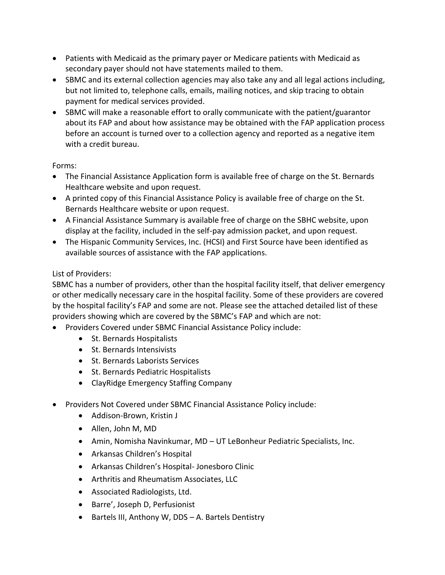- Patients with Medicaid as the primary payer or Medicare patients with Medicaid as secondary payer should not have statements mailed to them.
- SBMC and its external collection agencies may also take any and all legal actions including, but not limited to, telephone calls, emails, mailing notices, and skip tracing to obtain payment for medical services provided.
- SBMC will make a reasonable effort to orally communicate with the patient/guarantor about its FAP and about how assistance may be obtained with the FAP application process before an account is turned over to a collection agency and reported as a negative item with a credit bureau.

## Forms:

- The Financial Assistance Application form is available free of charge on the St. Bernards Healthcare website and upon request.
- A printed copy of this Financial Assistance Policy is available free of charge on the St. Bernards Healthcare website or upon request.
- A Financial Assistance Summary is available free of charge on the SBHC website, upon display at the facility, included in the self-pay admission packet, and upon request.
- The Hispanic Community Services, Inc. (HCSI) and First Source have been identified as available sources of assistance with the FAP applications.

## List of Providers:

SBMC has a number of providers, other than the hospital facility itself, that deliver emergency or other medically necessary care in the hospital facility. Some of these providers are covered by the hospital facility's FAP and some are not. Please see the attached detailed list of these providers showing which are covered by the SBMC's FAP and which are not:

- Providers Covered under SBMC Financial Assistance Policy include:
	- St. Bernards Hospitalists
	- St. Bernards Intensivists
	- St. Bernards Laborists Services
	- St. Bernards Pediatric Hospitalists
	- ClayRidge Emergency Staffing Company
- Providers Not Covered under SBMC Financial Assistance Policy include:
	- Addison-Brown, Kristin J
	- Allen, John M, MD
	- Amin, Nomisha Navinkumar, MD UT LeBonheur Pediatric Specialists, Inc.
	- Arkansas Children's Hospital
	- Arkansas Children's Hospital- Jonesboro Clinic
	- Arthritis and Rheumatism Associates, LLC
	- Associated Radiologists, Ltd.
	- Barre', Joseph D, Perfusionist
	- Bartels III, Anthony W, DDS A. Bartels Dentistry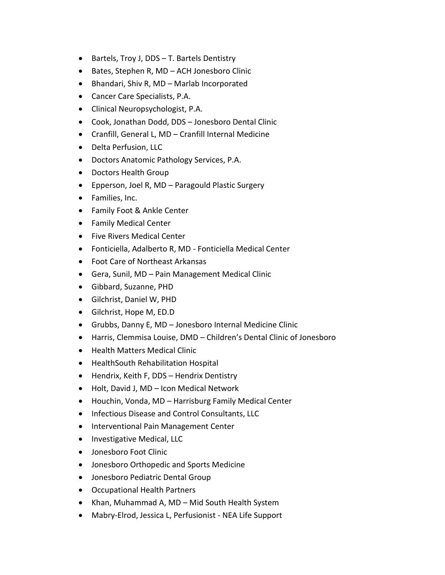- Bartels, Troy J, DDS T. Bartels Dentistry
- Bates, Stephen R, MD ACH Jonesboro Clinic
- Bhandari, Shiv R, MD Marlab Incorporated
- Cancer Care Specialists, P.A.
- Clinical Neuropsychologist, P.A.
- Cook, Jonathan Dodd, DDS Jonesboro Dental Clinic
- Cranfill, General L, MD Cranfill Internal Medicine
- Delta Perfusion, LLC
- Doctors Anatomic Pathology Services, P.A.
- Doctors Health Group
- Epperson, Joel R, MD Paragould Plastic Surgery
- Families, Inc.
- Family Foot & Ankle Center
- Family Medical Center
- Five Rivers Medical Center
- Fonticiella, Adalberto R, MD Fonticiella Medical Center
- Foot Care of Northeast Arkansas
- Gera, Sunil, MD Pain Management Medical Clinic
- Gibbard, Suzanne, PHD
- Gilchrist, Daniel W, PHD
- Gilchrist, Hope M, ED.D
- Grubbs, Danny E, MD Jonesboro Internal Medicine Clinic
- Harris, Clemmisa Louise, DMD Children's Dental Clinic of Jonesboro
- Health Matters Medical Clinic
- HealthSouth Rehabilitation Hospital
- Hendrix, Keith F, DDS Hendrix Dentistry
- Holt, David J, MD Icon Medical Network
- Houchin, Vonda, MD Harrisburg Family Medical Center
- Infectious Disease and Control Consultants, LLC
- Interventional Pain Management Center
- Investigative Medical, LLC
- Jonesboro Foot Clinic
- Jonesboro Orthopedic and Sports Medicine
- Jonesboro Pediatric Dental Group
- Occupational Health Partners
- Khan, Muhammad A, MD Mid South Health System
- Mabry-Elrod, Jessica L, Perfusionist NEA Life Support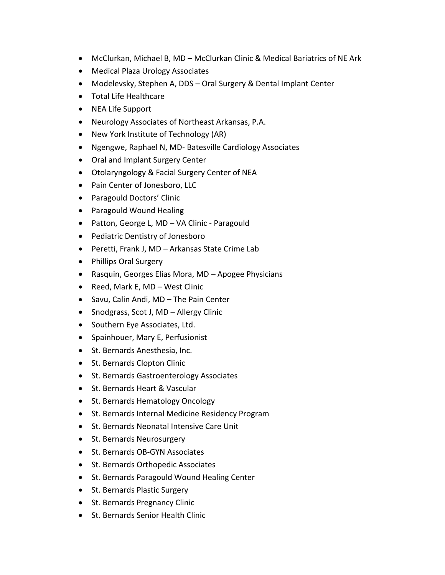- McClurkan, Michael B, MD McClurkan Clinic & Medical Bariatrics of NE Ark
- Medical Plaza Urology Associates
- Modelevsky, Stephen A, DDS Oral Surgery & Dental Implant Center
- Total Life Healthcare
- NEA Life Support
- Neurology Associates of Northeast Arkansas, P.A.
- New York Institute of Technology (AR)
- Ngengwe, Raphael N, MD- Batesville Cardiology Associates
- Oral and Implant Surgery Center
- Otolaryngology & Facial Surgery Center of NEA
- Pain Center of Jonesboro, LLC
- Paragould Doctors' Clinic
- Paragould Wound Healing
- Patton, George L, MD VA Clinic Paragould
- Pediatric Dentistry of Jonesboro
- Peretti, Frank J, MD Arkansas State Crime Lab
- Phillips Oral Surgery
- Rasquin, Georges Elias Mora, MD Apogee Physicians
- Reed, Mark E, MD West Clinic
- Savu, Calin Andi, MD The Pain Center
- Snodgrass, Scot J, MD Allergy Clinic
- Southern Eye Associates, Ltd.
- Spainhouer, Mary E, Perfusionist
- St. Bernards Anesthesia, Inc.
- St. Bernards Clopton Clinic
- St. Bernards Gastroenterology Associates
- St. Bernards Heart & Vascular
- St. Bernards Hematology Oncology
- St. Bernards Internal Medicine Residency Program
- St. Bernards Neonatal Intensive Care Unit
- St. Bernards Neurosurgery
- St. Bernards OB-GYN Associates
- St. Bernards Orthopedic Associates
- St. Bernards Paragould Wound Healing Center
- St. Bernards Plastic Surgery
- St. Bernards Pregnancy Clinic
- St. Bernards Senior Health Clinic